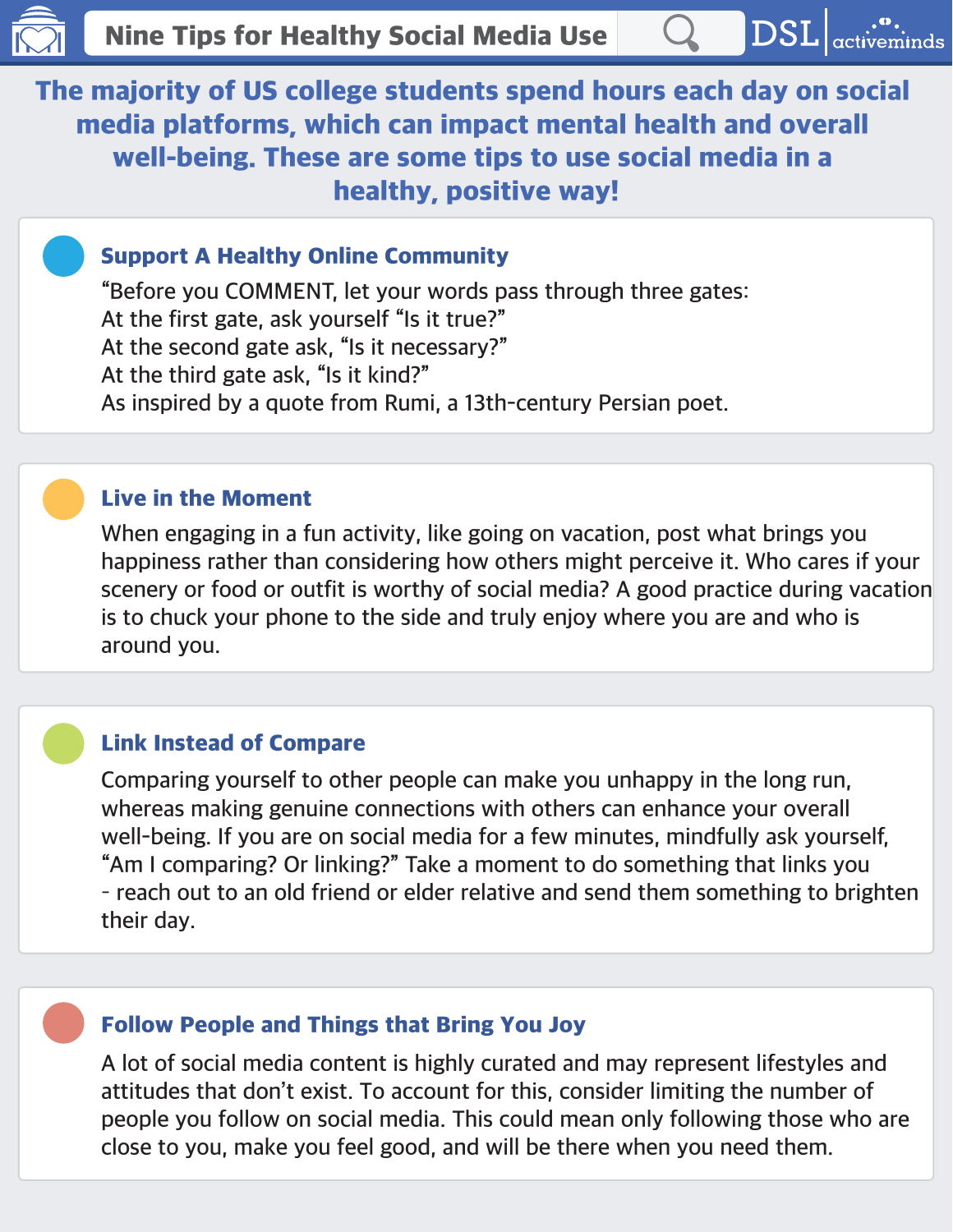The majority of US college students spend hours each day on social media platforms, which can impact mental health and overall well-being. These are some tips to use social media in a healthy, positive way!

# Support A Healthy Online Community

**"Before you COMMENT, let your words pass through three gates: At the first gate, ask yourself "Is it true?" At the second gate ask, "Is it necessary?" At the third gate ask, "Is it kind?" As inspired by a quote from Rumi, a 13th-century Persian poet.**

#### Live in the Moment

**When engaging in a fun activity, like going on vacation, post what brings you happiness rather than considering how others might perceive it. Who cares if your scenery or food or outfit is worthy of social media? A good practice during vacation is to chuck your phone to the side and truly enjoy where you are and who is around you.**

## Link Instead of Compare

**Comparing yourself to other people can make you unhappy in the long run, whereas making genuine connections with others can enhance your overall well-being. If you are on social media for a few minutes, mindfully ask yourself, "Am I comparing? Or linking?" Take a moment to do something that links you – reach out to an old friend or elder relative and send them something to brighten their day.** 

## Follow People and Things that Bring You Joy

**A lot of social media content is highly curated and may represent lifestyles and attitudes that don't exist. To account for this, consider limiting the number of people you follow on social media. This could mean only following those who are close to you, make you feel good, and will be there when you need them.**